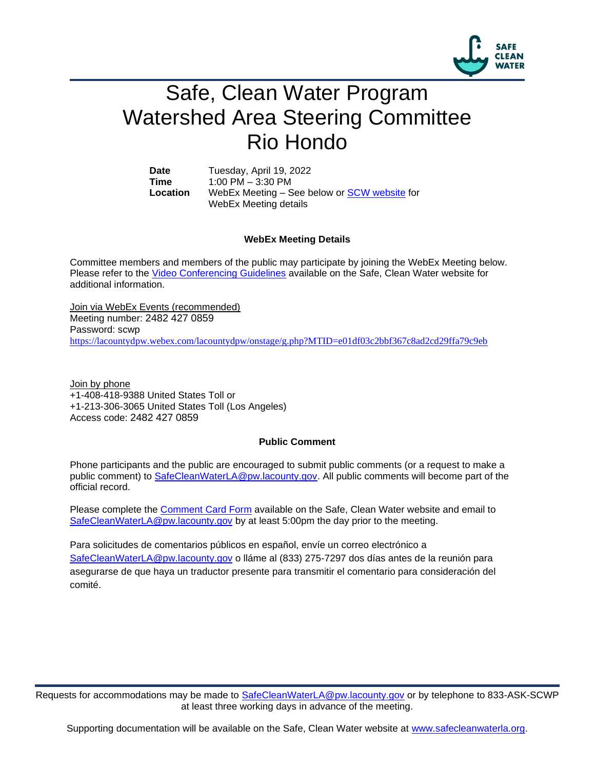

# Safe, Clean Water Program Watershed Area Steering Committee Rio Hondo

**Date** Tuesday, April 19, 2022 **Time** 1:00 PM – 3:30 PM **Location** WebEx Meeting – See below or [SCW website](https://safecleanwaterla.org/rio-hondo-watershed-area/) for WebEx Meeting details

### **WebEx Meeting Details**

Committee members and members of the public may participate by joining the WebEx Meeting below. Please refer to the [Video Conferencing Guidelines](https://safecleanwaterla.org/video-conference-guidelines/) available on the Safe, Clean Water website for additional information.

Join via WebEx Events (recommended) Meeting number: 2482 427 0859 Password: scwp <https://lacountydpw.webex.com/lacountydpw/onstage/g.php?MTID=e01df03c2bbf367c8ad2cd29ffa79c9eb>

Join by phone +1-408-418-9388 United States Toll or +1-213-306-3065 United States Toll (Los Angeles) Access code: 2482 427 0859

#### **Public Comment**

Phone participants and the public are encouraged to submit public comments (or a request to make a public comment) to [SafeCleanWaterLA@pw.lacounty.gov.](mailto:SafeCleanWaterLA@pw.lacounty.gov) All public comments will become part of the official record.

Please complete the Comment [Card Form](https://safecleanwaterla.org/wp-content/uploads/2020/04/Comment-Card-Form.pdf) available on the Safe, Clean Water website and email to [SafeCleanWaterLA@pw.lacounty.gov](mailto:SafeCleanWaterLA@pw.lacounty.govb) by at least 5:00pm the day prior to the meeting.

Para solicitudes de comentarios públicos en español, envíe un correo electrónico a [SafeCleanWaterLA@pw.lacounty.gov](mailto:SafeCleanWaterLA@pw.lacounty.gov) o lláme al (833) 275-7297 dos días antes de la reunión para asegurarse de que haya un traductor presente para transmitir el comentario para consideración del comité.

Requests for accommodations may be made to [SafeCleanWaterLA@pw.lacounty.gov](mailto:SafeCleanWaterLA@pw.lacounty.gov) or by telephone to 833-ASK-SCWP at least three working days in advance of the meeting.

Supporting documentation will be available on the Safe, Clean Water website at [www.safecleanwaterla.org.](http://www.safecleanwaterla.org/)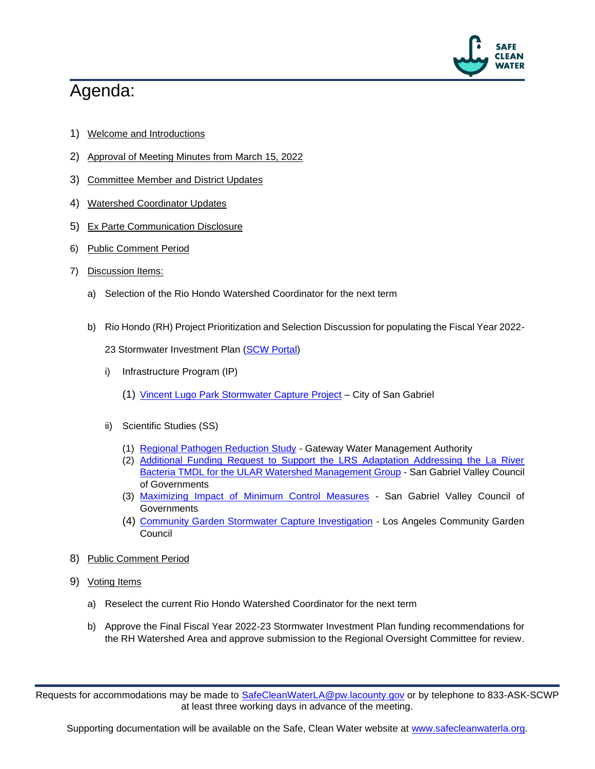

# Agenda:

- 1) Welcome and Introductions
- 2) Approval of Meeting Minutes from March 15, 2022
- 3) Committee Member and District Updates
- 4) Watershed Coordinator Updates
- 5) Ex Parte Communication Disclosure
- 6) Public Comment Period
- 7) Discussion Items:
	- a) Selection of the Rio Hondo Watershed Coordinator for the next term
	- b) Rio Hondo (RH) Project Prioritization and Selection Discussion for populating the Fiscal Year 2022-

23 Stormwater Investment Plan [\(SCW Portal\)](https://portal.safecleanwaterla.org/scw-reporting/map)

- i) Infrastructure Program (IP)
	- (1) [Vincent Lugo Park Stormwater Capture Project](https://portal.safecleanwaterla.org/projects-module-api/api/reportdownload/pdf/13/276) City of San Gabriel
- ii) Scientific Studies (SS)
	- (1) [Regional Pathogen Reduction Study](https://portal.safecleanwaterla.org/projects-module-api/api/reportdownload/pdf/21/40) Gateway Water Management Authority
	- (2) [Additional Funding Request to Support the LRS Adaptation Addressing the La River](https://portal.safecleanwaterla.org/projects-module-api/api/reportdownload/pdf/21/49)  [Bacteria TMDL for the ULAR Watershed Management Group](https://portal.safecleanwaterla.org/projects-module-api/api/reportdownload/pdf/21/49) - San Gabriel Valley Council of Governments
	- (3) [Maximizing Impact of Minimum Control Measures](https://portal.safecleanwaterla.org/projects-module-api/api/reportdownload/pdf/21/50) San Gabriel Valley Council of **Governments**
	- (4) [Community Garden Stormwater Capture Investigation](https://portal.safecleanwaterla.org/projects-module-api/api/reportdownload/pdf/21/52) Los Angeles Community Garden **Council**
- 8) Public Comment Period
- 9) Voting Items
	- a) Reselect the current Rio Hondo Watershed Coordinator for the next term
	- b) Approve the Final Fiscal Year 2022-23 Stormwater Investment Plan funding recommendations for the RH Watershed Area and approve submission to the Regional Oversight Committee for review.

Requests for accommodations may be made to [SafeCleanWaterLA@pw.lacounty.gov](mailto:SafeCleanWaterLA@pw.lacounty.gov) or by telephone to 833-ASK-SCWP at least three working days in advance of the meeting.

Supporting documentation will be available on the Safe, Clean Water website at [www.safecleanwaterla.org.](http://www.safecleanwaterla.org/)